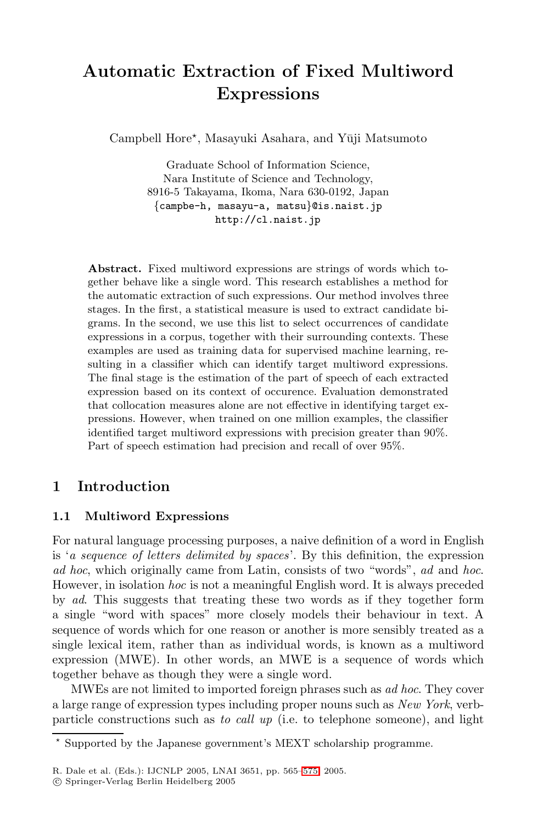# **Automatic Extraction of Fixed Multiword Expressions**

Campbell Hore\*, Masayuki Asahara, and Yūji Matsumoto

Graduate School of Information Science, Nara Institute of Science and Technology, 8916-5 Takayama, Ikoma, Nara 630-0192, Japan {campbe-h, masayu-a, matsu}@is.naist.jp http://cl.naist.jp

**Abstract.** Fixed multiword expressions are strings of words which together behave like a single word. This research establishes a method for the automatic extraction of such expressions. Our method involves three stages. In the first, a statistical measure is used to extract candidate bigrams. In the second, we use this list to select occurrences of candidate expressions in a corpus, together with their surrounding contexts. These examples are used as training data for supervised machine learning, resulting in a classifier which can identify target multiword expressions. The final stage is the estimation of the part of speech of each extracted expression based on its context of occurence. Evaluation demonstrated that collocation measures alone are not effective in identifying target expressions. However, when trained on one million examples, the classifier identified target multiword expressions with precision greater than 90%. Part of speech estimation had precision and recall of over 95%.

## **1 Introduction**

#### **1.1 Multiword Expressions**

For natural language processing purposes, a naive definition of a word in English is 'a sequence of letters delimited by spaces'. By this definition, the expression ad hoc, which originally came from Latin, consists of two "words", ad and hoc. However, in isolation hoc is not a meaningful English word. It is always preceded by ad. This suggests that treating these two words as if they together form a single "word with spaces" more closely models their behaviour in text. A sequence of words which for one reason or another is more sensibly treated as a single lexical item, rather than as individual words, is known as a multiword expression (MWE). In other words, an MWE is a sequence of words which together behave as though they were a single word.

MWEs are not limited to imported foreign phrases such as ad hoc. They cover a large range of expression types including proper nouns such as New York, verbparticle constructions such as to call up (i.e. to telephone someone), and light

<sup>\*</sup> Supported by the Japanese government's MEXT scholarship programme.

R. Dale et al. (Eds.): IJCNLP 2005, LNAI 3651, pp. 565[–575,](#page-10-0) 2005.

c Springer-Verlag Berlin Heidelberg 2005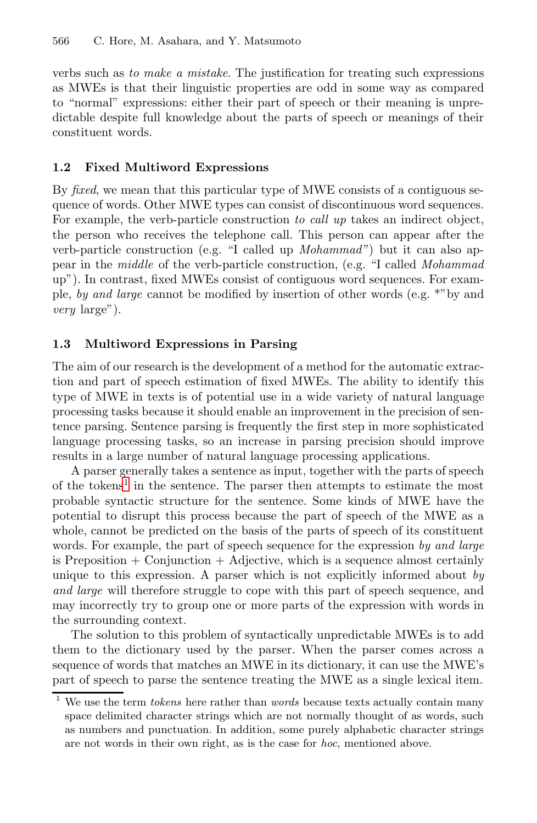verbs such as to make a mistake. The justification for treating such expressions as MWEs is that their linguistic properties are odd in some way as compared to "normal" expressions: either their part of speech or their meaning is unpredictable despite full knowledge about the parts of speech or meanings of their constituent words.

## **1.2 Fixed Multiword Expressions**

By fixed, we mean that this particular type of MWE consists of a contiguous sequence of words. Other MWE types can consist of discontinuous word sequences. For example, the verb-particle construction to call up takes an indirect object, the person who receives the telephone call. This person can appear after the verb-particle construction (e.g. "I called up Mohammad") but it can also appear in the middle of the verb-particle construction, (e.g. "I called Mohammad up"). In contrast, fixed MWEs consist of contiguous word sequences. For example, by and large cannot be modified by insertion of other words (e.g. \*"by and very large").

### **1.3 Multiword Expressions in Parsing**

The aim of our research is the development of a method for the automatic extraction and part of speech estimation of fixed MWEs. The ability to identify this type of MWE in texts is of potential use in a wide variety of natural language processing tasks because it should enable an improvement in the precision of sentence parsing. Sentence parsing is frequently the first step in more sophisticated language processing tasks, so an increase in parsing precision should improve results in a large number of natural language processing applications.

A parser generally takes a sentence as input, together with the parts of speech of the tokens<sup>[1](#page-1-0)</sup> in the sentence. The parser then attempts to estimate the most probable syntactic structure for the sentence. Some kinds of MWE have the potential to disrupt this process because the part of speech of the MWE as a whole, cannot be predicted on the basis of the parts of speech of its constituent words. For example, the part of speech sequence for the expression by and large is Preposition  $+$  Conjunction  $+$  Adjective, which is a sequence almost certainly unique to this expression. A parser which is not explicitly informed about by and large will therefore struggle to cope with this part of speech sequence, and may incorrectly try to group one or more parts of the expression with words in the surrounding context.

The solution to this problem of syntactically unpredictable MWEs is to add them to the dictionary used by the parser. When the parser comes across a sequence of words that matches an MWE in its dictionary, it can use the MWE's part of speech to parse the sentence treating the MWE as a single lexical item.

<span id="page-1-0"></span><sup>&</sup>lt;sup>1</sup> We use the term *tokens* here rather than *words* because texts actually contain many space delimited character strings which are not normally thought of as words, such as numbers and punctuation. In addition, some purely alphabetic character strings are not words in their own right, as is the case for hoc, mentioned above.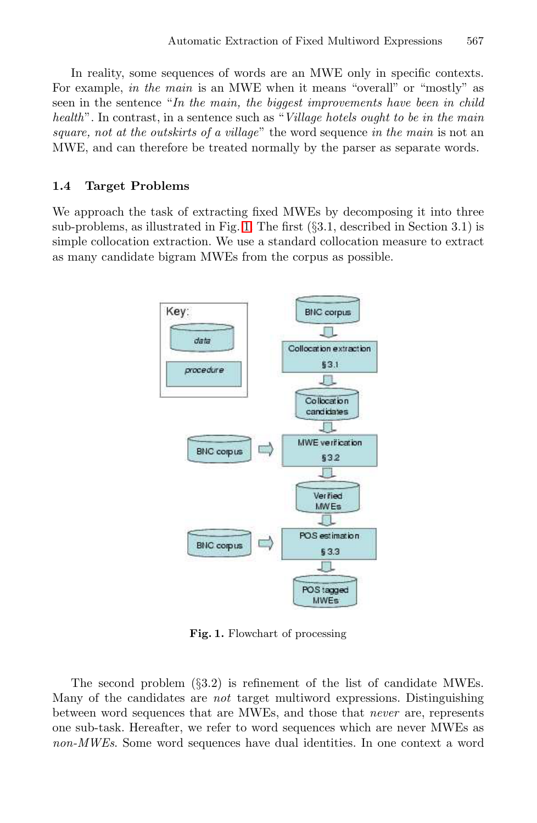In reality, some sequences of words are an MWE only in specific contexts. For example, *in the main* is an MWE when it means "overall" or "mostly" as seen in the sentence "In the main, the biggest improvements have been in child health". In contrast, in a sentence such as "Village hotels ought to be in the main square, not at the outskirts of a village" the word sequence in the main is not an MWE, and can therefore be treated normally by the parser as separate words.

#### **1.4 Target Problems**

We approach the task of extracting fixed MWEs by decomposing it into three sub-problems, as illustrated in Fig. [1.](#page-2-0) The first (§3.1, described in Section 3.1) is simple collocation extraction. We use a standard collocation measure to extract as many candidate bigram MWEs from the corpus as possible.



<span id="page-2-0"></span>**Fig. 1.** Flowchart of processing

The second problem (§3.2) is refinement of the list of candidate MWEs. Many of the candidates are not target multiword expressions. Distinguishing between word sequences that are MWEs, and those that never are, represents one sub-task. Hereafter, we refer to word sequences which are never MWEs as non-MWEs. Some word sequences have dual identities. In one context a word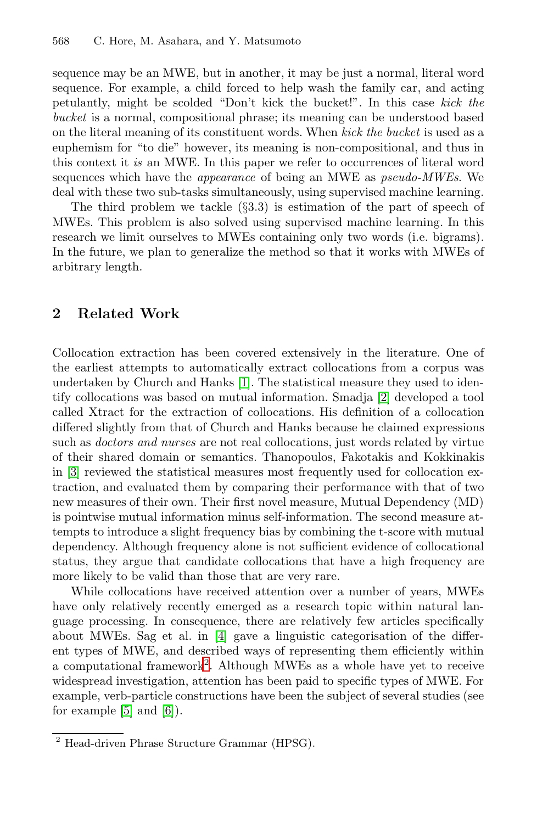sequence may be an MWE, but in another, it may be just a normal, literal word sequence. For example, a child forced to help wash the family car, and acting petulantly, might be scolded "Don't kick the bucket!". In this case kick the bucket is a normal, compositional phrase; its meaning can be understood based on the literal meaning of its constituent words. When kick the bucket is used as a euphemism for "to die" however, its meaning is non-compositional, and thus in this context it is an MWE. In this paper we refer to occurrences of literal word sequences which have the appearance of being an MWE as pseudo-MWEs. We deal with these two sub-tasks simultaneously, using supervised machine learning.

The third problem we tackle (§3.3) is estimation of the part of speech of MWEs. This problem is also solved using supervised machine learning. In this research we limit ourselves to MWEs containing only two words (i.e. bigrams). In the future, we plan to generalize the method so that it works with MWEs of arbitrary length.

## **2 Related Work**

Collocation extraction has been covered extensively in the literature. One of the earliest attempts to automatically extract collocations from a corpus was undertaken by Church and Hanks [\[1\]](#page-10-1). The statistical measure they used to identify collocations was based on mutual information. Smadja [\[2\]](#page-10-2) developed a tool called Xtract for the extraction of collocations. His definition of a collocation differed slightly from that of Church and Hanks because he claimed expressions such as *doctors and nurses* are not real collocations, just words related by virtue of their shared domain or semantics. Thanopoulos, Fakotakis and Kokkinakis in [\[3\]](#page-10-3) reviewed the statistical measures most frequently used for collocation extraction, and evaluated them by comparing their performance with that of two new measures of their own. Their first novel measure, Mutual Dependency (MD) is pointwise mutual information minus self-information. The second measure attempts to introduce a slight frequency bias by combining the t-score with mutual dependency. Although frequency alone is not sufficient evidence of collocational status, they argue that candidate collocations that have a high frequency are more likely to be valid than those that are very rare.

While collocations have received attention over a number of years, MWEs have only relatively recently emerged as a research topic within natural language processing. In consequence, there are relatively few articles specifically about MWEs. Sag et al. in [\[4\]](#page-10-4) gave a linguistic categorisation of the different types of MWE, and described ways of representing them efficiently within a computational framework[2](#page-3-0). Although MWEs as a whole have yet to receive widespread investigation, attention has been paid to specific types of MWE. For example, verb-particle constructions have been the subject of several studies (see for example  $[5]$  and  $[6]$ ).

<span id="page-3-0"></span><sup>2</sup> Head-driven Phrase Structure Grammar (HPSG).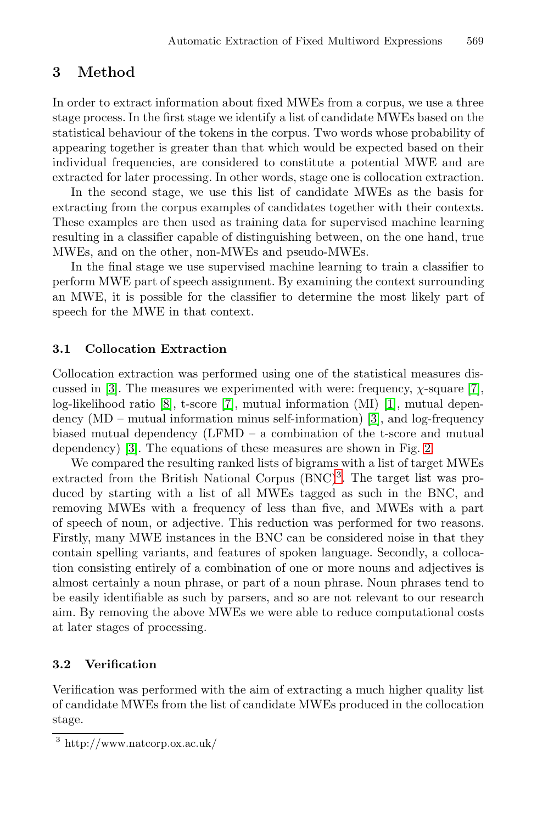## **3 Method**

In order to extract information about fixed MWEs from a corpus, we use a three stage process. In the first stage we identify a list of candidate MWEs based on the statistical behaviour of the tokens in the corpus. Two words whose probability of appearing together is greater than that which would be expected based on their individual frequencies, are considered to constitute a potential MWE and are extracted for later processing. In other words, stage one is collocation extraction.

In the second stage, we use this list of candidate MWEs as the basis for extracting from the corpus examples of candidates together with their contexts. These examples are then used as training data for supervised machine learning resulting in a classifier capable of distinguishing between, on the one hand, true MWEs, and on the other, non-MWEs and pseudo-MWEs.

In the final stage we use supervised machine learning to train a classifier to perform MWE part of speech assignment. By examining the context surrounding an MWE, it is possible for the classifier to determine the most likely part of speech for the MWE in that context.

## **3.1 Collocation Extraction**

Collocation extraction was performed using one of the statistical measures dis-cussed in [\[3\]](#page-10-3). The measures we experimented with were: frequency,  $\chi$ -square [\[7\]](#page-10-7), log-likelihood ratio [\[8\]](#page-10-8), t-score [\[7\]](#page-10-7), mutual information (MI) [\[1\]](#page-10-1), mutual dependency (MD – mutual information minus self-information) [\[3\]](#page-10-3), and log-frequency biased mutual dependency (LFMD – a combination of the t-score and mutual dependency) [\[3\]](#page-10-3). The equations of these measures are shown in Fig. [2.](#page-5-0)

We compared the resulting ranked lists of bigrams with a list of target MWEs extracted from the British National Corpus  $(BNC)^3$  $(BNC)^3$ . The target list was produced by starting with a list of all MWEs tagged as such in the BNC, and removing MWEs with a frequency of less than five, and MWEs with a part of speech of noun, or adjective. This reduction was performed for two reasons. Firstly, many MWE instances in the BNC can be considered noise in that they contain spelling variants, and features of spoken language. Secondly, a collocation consisting entirely of a combination of one or more nouns and adjectives is almost certainly a noun phrase, or part of a noun phrase. Noun phrases tend to be easily identifiable as such by parsers, and so are not relevant to our research aim. By removing the above MWEs we were able to reduce computational costs at later stages of processing.

## **3.2 Verification**

Verification was performed with the aim of extracting a much higher quality list of candidate MWEs from the list of candidate MWEs produced in the collocation stage.

<span id="page-4-0"></span> $^3$ http://www.natcorp.ox.ac.uk/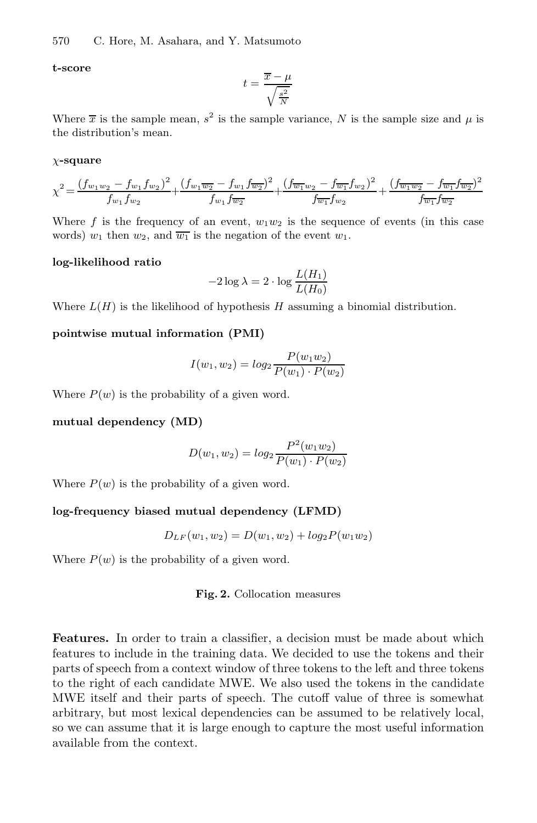#### **t-score**

$$
t = \frac{\overline{x} - \mu}{\sqrt{\frac{s^2}{N}}}
$$

Where  $\bar{x}$  is the sample mean,  $s^2$  is the sample variance, N is the sample size and  $\mu$  is the distribution's mean.

#### χ**-square**

$$
\chi^2 = \frac{(f_{w_1w_2} - f_{w_1}f_{w_2})^2}{f_{w_1}f_{w_2}} + \frac{(f_{w_1\overline{w_2}} - f_{w_1}f_{\overline{w_2}})^2}{f_{w_1}f_{\overline{w_2}}} + \frac{(f_{\overline{w_1}w_2} - f_{\overline{w_1}}f_{w_2})^2}{f_{\overline{w_1}}f_{w_2}} + \frac{(f_{\overline{w_1}w_2} - f_{\overline{w_1}}f_{\overline{w_2}})^2}{f_{\overline{w_1}}f_{\overline{w_2}}}
$$

Where f is the frequency of an event,  $w_1w_2$  is the sequence of events (in this case words)  $w_1$  then  $w_2$ , and  $\overline{w_1}$  is the negation of the event  $w_1$ .

#### **log-likelihood ratio**

$$
-2\log\lambda = 2 \cdot \log \frac{L(H_1)}{L(H_0)}
$$

Where  $L(H)$  is the likelihood of hypothesis H assuming a binomial distribution.

#### **pointwise mutual information (PMI)**

$$
I(w_1, w_2) = log_2 \frac{P(w_1 w_2)}{P(w_1) \cdot P(w_2)}
$$

Where  $P(w)$  is the probability of a given word.

**mutual dependency (MD)**

$$
D(w_1, w_2) = log_2 \frac{P^2(w_1w_2)}{P(w_1) \cdot P(w_2)}
$$

Where  $P(w)$  is the probability of a given word.

## **log-frequency biased mutual dependency (LFMD)**

$$
D_{LF}(w_1, w_2) = D(w_1, w_2) + log_2 P(w_1 w_2)
$$

Where  $P(w)$  is the probability of a given word.

#### <span id="page-5-0"></span>**Fig. 2.** Collocation measures

**Features.** In order to train a classifier, a decision must be made about which features to include in the training data. We decided to use the tokens and their parts of speech from a context window of three tokens to the left and three tokens to the right of each candidate MWE. We also used the tokens in the candidate MWE itself and their parts of speech. The cutoff value of three is somewhat arbitrary, but most lexical dependencies can be assumed to be relatively local, so we can assume that it is large enough to capture the most useful information available from the context.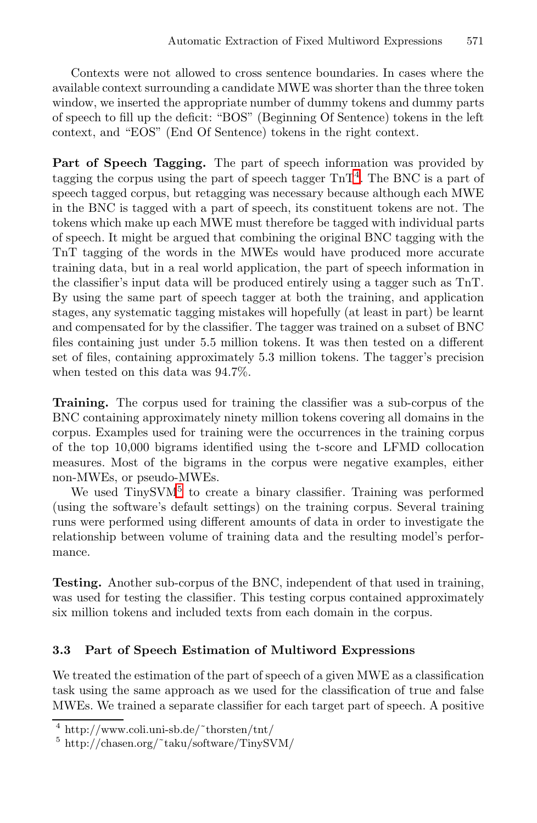Contexts were not allowed to cross sentence boundaries. In cases where the available context surrounding a candidate MWE was shorter than the three token window, we inserted the appropriate number of dummy tokens and dummy parts of speech to fill up the deficit: "BOS" (Beginning Of Sentence) tokens in the left context, and "EOS" (End Of Sentence) tokens in the right context.

Part of Speech Tagging. The part of speech information was provided by tagging the corpus using the part of speech tagger  $TnT<sup>4</sup>$  $TnT<sup>4</sup>$  $TnT<sup>4</sup>$ . The BNC is a part of speech tagged corpus, but retagging was necessary because although each MWE in the BNC is tagged with a part of speech, its constituent tokens are not. The tokens which make up each MWE must therefore be tagged with individual parts of speech. It might be argued that combining the original BNC tagging with the TnT tagging of the words in the MWEs would have produced more accurate training data, but in a real world application, the part of speech information in the classifier's input data will be produced entirely using a tagger such as TnT. By using the same part of speech tagger at both the training, and application stages, any systematic tagging mistakes will hopefully (at least in part) be learnt and compensated for by the classifier. The tagger was trained on a subset of BNC files containing just under 5.5 million tokens. It was then tested on a different set of files, containing approximately 5.3 million tokens. The tagger's precision when tested on this data was 94.7%.

**Training.** The corpus used for training the classifier was a sub-corpus of the BNC containing approximately ninety million tokens covering all domains in the corpus. Examples used for training were the occurrences in the training corpus of the top 10,000 bigrams identified using the t-score and LFMD collocation measures. Most of the bigrams in the corpus were negative examples, either non-MWEs, or pseudo-MWEs.

We used TinySVM<sup>[5](#page-6-1)</sup> to create a binary classifier. Training was performed (using the software's default settings) on the training corpus. Several training runs were performed using different amounts of data in order to investigate the relationship between volume of training data and the resulting model's performance.

**Testing.** Another sub-corpus of the BNC, independent of that used in training, was used for testing the classifier. This testing corpus contained approximately six million tokens and included texts from each domain in the corpus.

## **3.3 Part of Speech Estimation of Multiword Expressions**

We treated the estimation of the part of speech of a given MWE as a classification task using the same approach as we used for the classification of true and false MWEs. We trained a separate classifier for each target part of speech. A positive

 $\frac{4 \text{ http://www.coli.uni-sb.de/~thorsten/tnt/~}}{4 \text{http://www.coli.uni-sb.de/~thorsten/tnt/~}}$ 

<span id="page-6-1"></span><span id="page-6-0"></span> $^5$ http://chasen.org/~taku/software/TinySVM/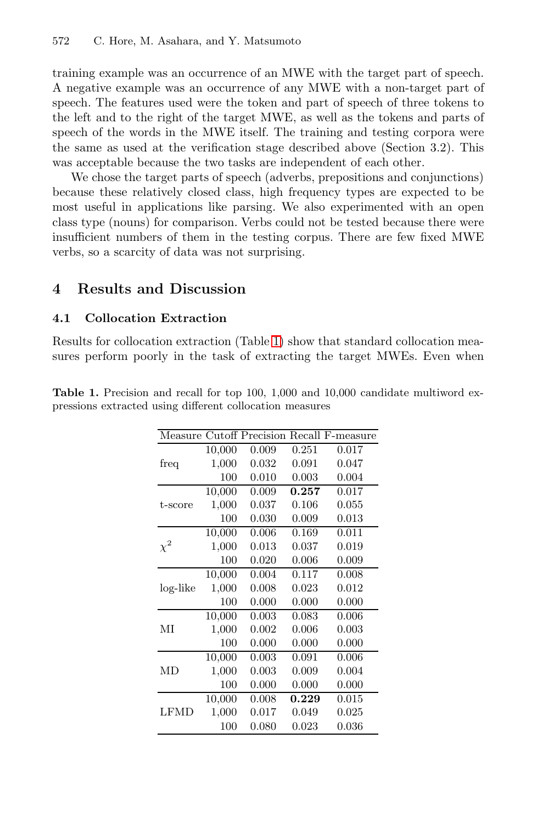training example was an occurrence of an MWE with the target part of speech. A negative example was an occurrence of any MWE with a non-target part of speech. The features used were the token and part of speech of three tokens to the left and to the right of the target MWE, as well as the tokens and parts of speech of the words in the MWE itself. The training and testing corpora were the same as used at the verification stage described above (Section 3.2). This was acceptable because the two tasks are independent of each other.

We chose the target parts of speech (adverbs, prepositions and conjunctions) because these relatively closed class, high frequency types are expected to be most useful in applications like parsing. We also experimented with an open class type (nouns) for comparison. Verbs could not be tested because there were insufficient numbers of them in the testing corpus. There are few fixed MWE verbs, so a scarcity of data was not surprising.

## **4 Results and Discussion**

## **4.1 Collocation Extraction**

Results for collocation extraction (Table [1\)](#page-7-0) show that standard collocation measures perform poorly in the task of extracting the target MWEs. Even when

|            |        |       |       | Measure Cutoff Precision Recall F-measure |
|------------|--------|-------|-------|-------------------------------------------|
| freq       | 10,000 | 0.009 | 0.251 | 0.017                                     |
|            | 1,000  | 0.032 | 0.091 | 0.047                                     |
|            | 100    | 0.010 | 0.003 | 0.004                                     |
| $t$ -score | 10,000 | 0.009 | 0.257 | 0.017                                     |
|            | 1,000  | 0.037 | 0.106 | 0.055                                     |
|            | 100    | 0.030 | 0.009 | 0.013                                     |
| $\chi^2$   | 10,000 | 0.006 | 0.169 | 0.011                                     |
|            | 1,000  | 0.013 | 0.037 | 0.019                                     |
|            | 100    | 0.020 | 0.006 | 0.009                                     |
| log-like   | 10,000 | 0.004 | 0.117 | 0.008                                     |
|            | 1,000  | 0.008 | 0.023 | 0.012                                     |
|            | 100    | 0.000 | 0.000 | 0.000                                     |
| МI         | 10,000 | 0.003 | 0.083 | 0.006                                     |
|            | 1,000  | 0.002 | 0.006 | 0.003                                     |
|            | 100    | 0.000 | 0.000 | 0.000                                     |
| MD         | 10,000 | 0.003 | 0.091 | 0.006                                     |
|            | 1,000  | 0.003 | 0.009 | 0.004                                     |
|            | 100    | 0.000 | 0.000 | 0.000                                     |
| LFMD       | 10,000 | 0.008 | 0.229 | 0.015                                     |
|            | 1,000  | 0.017 | 0.049 | 0.025                                     |
|            | 100    | 0.080 | 0.023 | 0.036                                     |

<span id="page-7-0"></span>**Table 1.** Precision and recall for top 100, 1,000 and 10,000 candidate multiword expressions extracted using different collocation measures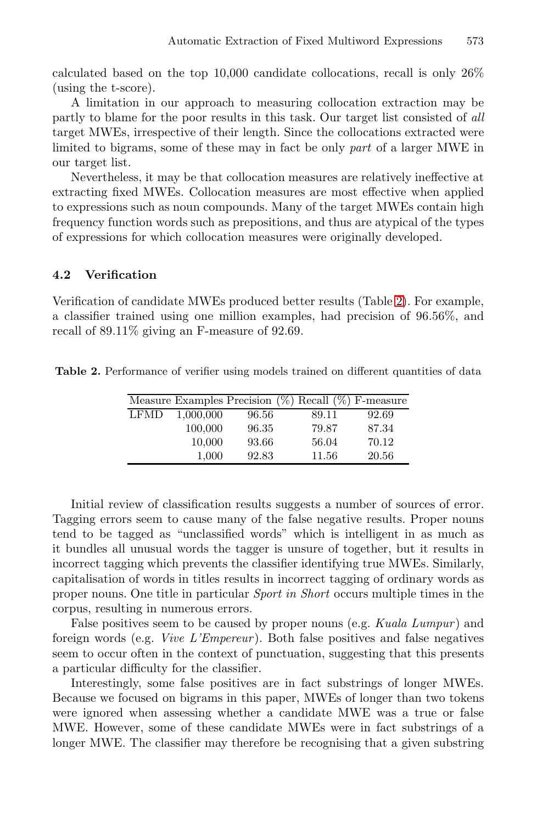calculated based on the top 10,000 candidate collocations, recall is only 26% (using the t-score).

A limitation in our approach to measuring collocation extraction may be partly to blame for the poor results in this task. Our target list consisted of all target MWEs, irrespective of their length. Since the collocations extracted were limited to bigrams, some of these may in fact be only part of a larger MWE in our target list.

Nevertheless, it may be that collocation measures are relatively ineffective at extracting fixed MWEs. Collocation measures are most effective when applied to expressions such as noun compounds. Many of the target MWEs contain high frequency function words such as prepositions, and thus are atypical of the types of expressions for which collocation measures were originally developed.

#### **4.2 Verification**

Verification of candidate MWEs produced better results (Table [2\)](#page-8-0). For example, a classifier trained using one million examples, had precision of 96.56%, and recall of 89.11% giving an F-measure of 92.69.

<span id="page-8-0"></span>**Table 2.** Performance of verifier using models trained on different quantities of data

|      |           | Measure Examples Precision $(\%)$ Recall $(\%)$ F-measure |       |       |
|------|-----------|-----------------------------------------------------------|-------|-------|
| LFMD | 1,000,000 | 96.56                                                     | 89.11 | 92.69 |
|      | 100,000   | 96.35                                                     | 79.87 | 87.34 |
|      | 10,000    | 93.66                                                     | 56.04 | 70.12 |
|      | 1,000     | 92.83                                                     | 11.56 | 20.56 |

Initial review of classification results suggests a number of sources of error. Tagging errors seem to cause many of the false negative results. Proper nouns tend to be tagged as "unclassified words" which is intelligent in as much as it bundles all unusual words the tagger is unsure of together, but it results in incorrect tagging which prevents the classifier identifying true MWEs. Similarly, capitalisation of words in titles results in incorrect tagging of ordinary words as proper nouns. One title in particular Sport in Short occurs multiple times in the corpus, resulting in numerous errors.

False positives seem to be caused by proper nouns (e.g. Kuala Lumpur) and foreign words (e.g. Vive L'Empereur ). Both false positives and false negatives seem to occur often in the context of punctuation, suggesting that this presents a particular difficulty for the classifier.

Interestingly, some false positives are in fact substrings of longer MWEs. Because we focused on bigrams in this paper, MWEs of longer than two tokens were ignored when assessing whether a candidate MWE was a true or false MWE. However, some of these candidate MWEs were in fact substrings of a longer MWE. The classifier may therefore be recognising that a given substring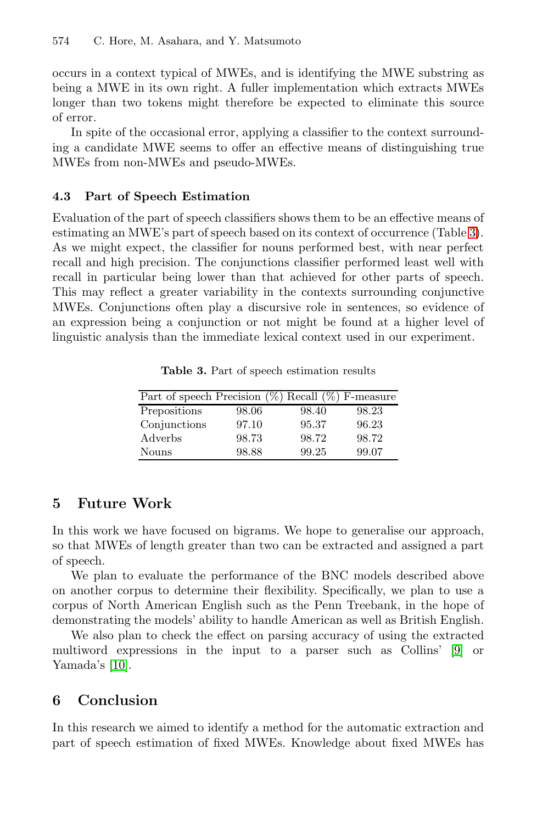occurs in a context typical of MWEs, and is identifying the MWE substring as being a MWE in its own right. A fuller implementation which extracts MWEs longer than two tokens might therefore be expected to eliminate this source of error.

In spite of the occasional error, applying a classifier to the context surrounding a candidate MWE seems to offer an effective means of distinguishing true MWEs from non-MWEs and pseudo-MWEs.

## **4.3 Part of Speech Estimation**

Evaluation of the part of speech classifiers shows them to be an effective means of estimating an MWE's part of speech based on its context of occurrence (Table [3\)](#page-9-0). As we might expect, the classifier for nouns performed best, with near perfect recall and high precision. The conjunctions classifier performed least well with recall in particular being lower than that achieved for other parts of speech. This may reflect a greater variability in the contexts surrounding conjunctive MWEs. Conjunctions often play a discursive role in sentences, so evidence of an expression being a conjunction or not might be found at a higher level of linguistic analysis than the immediate lexical context used in our experiment.

<span id="page-9-0"></span>

| Part of speech Precision $(\%)$ Recall $(\%)$ F-measure |       |       |       |
|---------------------------------------------------------|-------|-------|-------|
| Prepositions                                            | 98.06 | 98.40 | 98.23 |
| Conjunctions                                            | 97.10 | 95.37 | 96.23 |
| Adverbs                                                 | 98.73 | 98.72 | 98.72 |
| Nouns                                                   | 98.88 | 99.25 | 99.07 |

**Table 3.** Part of speech estimation results

## **5 Future Work**

In this work we have focused on bigrams. We hope to generalise our approach, so that MWEs of length greater than two can be extracted and assigned a part of speech.

We plan to evaluate the performance of the BNC models described above on another corpus to determine their flexibility. Specifically, we plan to use a corpus of North American English such as the Penn Treebank, in the hope of demonstrating the models' ability to handle American as well as British English.

We also plan to check the effect on parsing accuracy of using the extracted multiword expressions in the input to a parser such as Collins' [\[9\]](#page-10-9) or Yamada's [\[10\]](#page-10-10).

## **6 Conclusion**

In this research we aimed to identify a method for the automatic extraction and part of speech estimation of fixed MWEs. Knowledge about fixed MWEs has